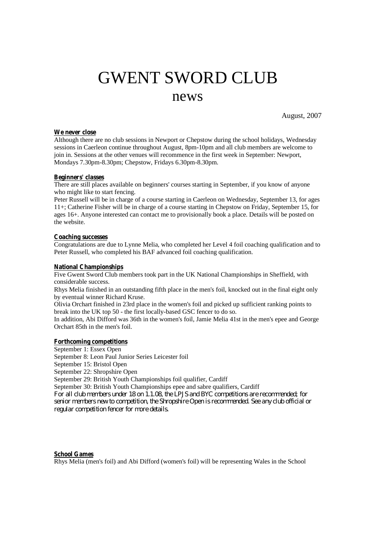# GWENT SWORD CLUB news

August, 2007

## **We never close**

Although there are no club sessions in Newport or Chepstow during the school holidays, Wednesday sessions in Caerleon continue throughout August, 8pm-10pm and all club members are welcome to join in. Sessions at the other venues will recommence in the first week in September: Newport, Mondays 7.30pm-8.30pm; Chepstow, Fridays 6.30pm-8.30pm.

## **Beginners' classes**

There are still places available on beginners' courses starting in September, if you know of anyone who might like to start fencing.

Peter Russell will be in charge of a course starting in Caerleon on Wednesday, September 13, for ages 11+; Catherine Fisher will be in charge of a course starting in Chepstow on Friday, September 15, for ages 16+. Anyone interested can contact me to provisionally book a place. Details will be posted on the website.

## **Coaching successes**

Congratulations are due to Lynne Melia, who completed her Level 4 foil coaching qualification and to Peter Russell, who completed his BAF advanced foil coaching qualification.

## **National Championships**

Five Gwent Sword Club members took part in the UK National Championships in Sheffield, with considerable success.

Rhys Melia finished in an outstanding fifth place in the men's foil, knocked out in the final eight only by eventual winner Richard Kruse.

Olivia Orchart finished in 23rd place in the women's foil and picked up sufficient ranking points to break into the UK top 50 - the first locally-based GSC fencer to do so.

In addition, Abi Difford was 36th in the women's foil, Jamie Melia 41st in the men's epee and George Orchart 85th in the men's foil.

### **Forthcoming competitions**

September 1: Essex Open

September 8: Leon Paul Junior Series Leicester foil

September 15: Bristol Open

September 22: Shropshire Open

September 29: British Youth Championships foil qualifier, Cardiff

September 30: British Youth Championships epee and sabre qualifiers, Cardiff

*For all club members under 18 on 1.1.08, the LPJS and BYC competitions are recommended; for senior members new to competition, the Shropshire Open is recommended. See any club official or regular competition fencer for more details.*

# **School Games**

Rhys Melia (men's foil) and Abi Difford (women's foil) will be representing Wales in the School